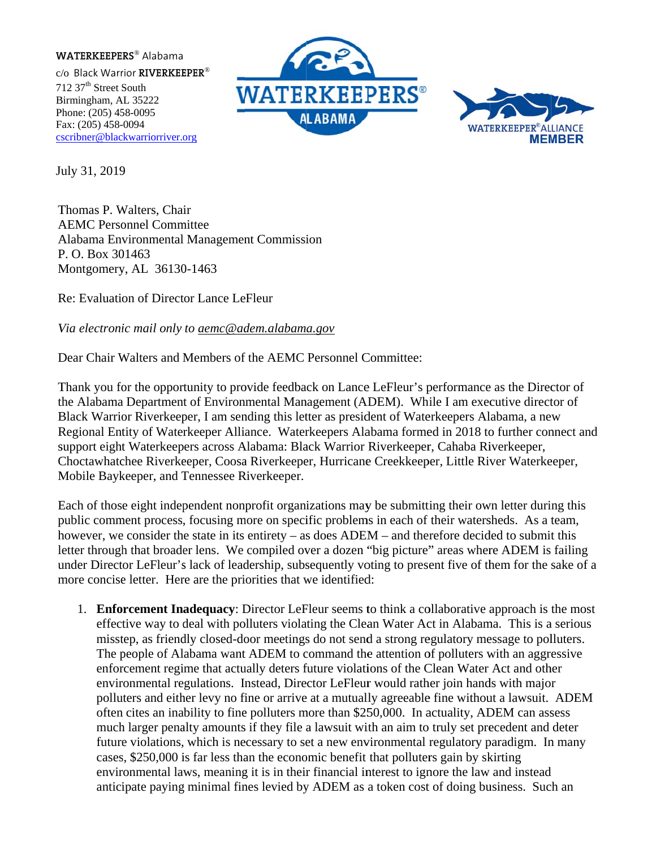## **WATERKEEPERS®** Alabama

 $c$ /o Black Warrior RIVERKEEPER® 712 37<sup>th</sup> Street South Birmingham, AL 35222 Phone: (205) 458-0095 Fax: (205) 458-0094 cscribner@blackwarriorriver.org





July 31, 2019

Thomas P. Walters, Chair **AEMC Personnel Committee** Alabama Environmental Management Commission P. O. Box 301463 Montgomery, AL 36130-1463

Re: Evaluation of Director Lance LeFleur

Via electronic mail only to aemc@adem.alabama.gov

Dear Chair Walters and Members of the AEMC Personnel Committee:

Thank you for the opportunity to provide feedback on Lance LeFleur's performance as the Director of the Alabama Department of Environmental Management (ADEM). While I am executive director of Black Warrior Riverkeeper, I am sending this letter as president of Waterkeepers Alabama, a new Regional Entity of Waterkeeper Alliance. Waterkeepers Alabama formed in 2018 to further connect and support eight Waterkeepers across Alabama: Black Warrior Riverkeeper, Cahaba Riverkeeper, Choctawhatchee Riverkeeper, Coosa Riverkeeper, Hurricane Creekkeeper, Little River Waterkeeper, Mobile Baykeeper, and Tennessee Riverkeeper.

Each of those eight independent nonprofit organizations may be submitting their own letter during this public comment process, focusing more on specific problems in each of their watersheds. As a team, however, we consider the state in its entirety – as does  $ADEM$  – and therefore decided to submit this letter through that broader lens. We compiled over a dozen "big picture" areas where ADEM is failing under Director LeFleur's lack of leadership, subsequently voting to present five of them for the sake of a more concise letter. Here are the priorities that we identified:

1. Enforcement Inadequacy: Director LeFleur seems to think a collaborative approach is the most effective way to deal with polluters violating the Clean Water Act in Alabama. This is a serious misstep, as friendly closed-door meetings do not send a strong regulatory message to polluters. The people of Alabama want ADEM to command the attention of polluters with an aggressive enforcement regime that actually deters future violations of the Clean Water Act and other environmental regulations. Instead, Director LeFleur would rather join hands with major polluters and either levy no fine or arrive at a mutually agreeable fine without a lawsuit. ADEM often cites an inability to fine polluters more than \$250,000. In actuality, ADEM can assess much larger penalty amounts if they file a lawsuit with an aim to truly set precedent and deter future violations, which is necessary to set a new environmental regulatory paradigm. In many cases, \$250,000 is far less than the economic benefit that polluters gain by skirting environmental laws, meaning it is in their financial interest to ignore the law and instead anticipate paying minimal fines levied by ADEM as a token cost of doing business. Such an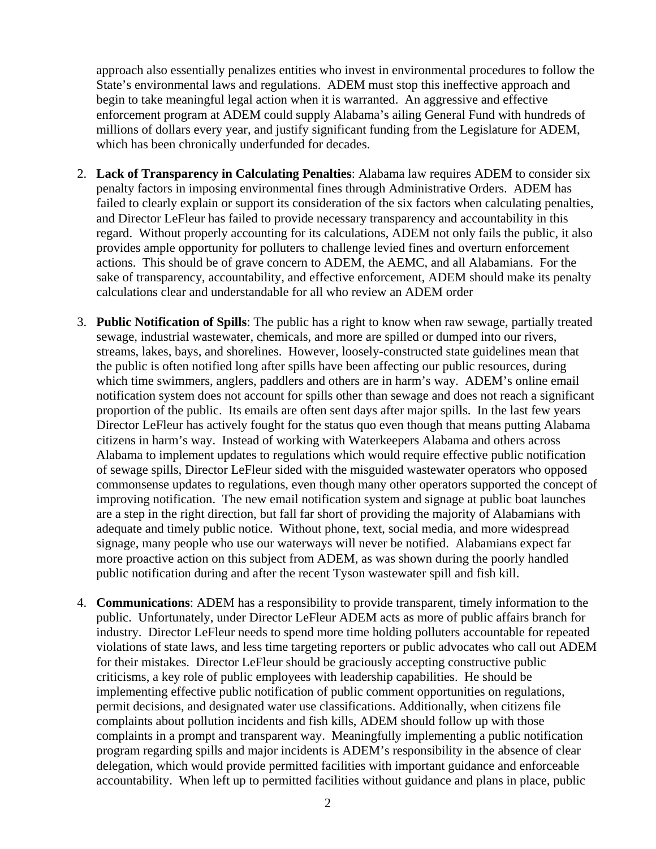approach also essentially penalizes entities who invest in environmental procedures to follow the State's environmental laws and regulations. ADEM must stop this ineffective approach and begin to take meaningful legal action when it is warranted. An aggressive and effective enforcement program at ADEM could supply Alabama's ailing General Fund with hundreds of millions of dollars every year, and justify significant funding from the Legislature for ADEM, which has been chronically underfunded for decades.

- 2. **Lack of Transparency in Calculating Penalties**: Alabama law requires ADEM to consider six penalty factors in imposing environmental fines through Administrative Orders. ADEM has failed to clearly explain or support its consideration of the six factors when calculating penalties, and Director LeFleur has failed to provide necessary transparency and accountability in this regard. Without properly accounting for its calculations, ADEM not only fails the public, it also provides ample opportunity for polluters to challenge levied fines and overturn enforcement actions. This should be of grave concern to ADEM, the AEMC, and all Alabamians. For the sake of transparency, accountability, and effective enforcement, ADEM should make its penalty calculations clear and understandable for all who review an ADEM order
- 3. **Public Notification of Spills**: The public has a right to know when raw sewage, partially treated sewage, industrial wastewater, chemicals, and more are spilled or dumped into our rivers, streams, lakes, bays, and shorelines. However, loosely-constructed state guidelines mean that the public is often notified long after spills have been affecting our public resources, during which time swimmers, anglers, paddlers and others are in harm's way. ADEM's online email notification system does not account for spills other than sewage and does not reach a significant proportion of the public. Its emails are often sent days after major spills. In the last few years Director LeFleur has actively fought for the status quo even though that means putting Alabama citizens in harm's way. Instead of working with Waterkeepers Alabama and others across Alabama to implement updates to regulations which would require effective public notification of sewage spills, Director LeFleur sided with the misguided wastewater operators who opposed commonsense updates to regulations, even though many other operators supported the concept of improving notification. The new email notification system and signage at public boat launches are a step in the right direction, but fall far short of providing the majority of Alabamians with adequate and timely public notice. Without phone, text, social media, and more widespread signage, many people who use our waterways will never be notified. Alabamians expect far more proactive action on this subject from ADEM, as was shown during the poorly handled public notification during and after the recent Tyson wastewater spill and fish kill.
- 4. **Communications**: ADEM has a responsibility to provide transparent, timely information to the public. Unfortunately, under Director LeFleur ADEM acts as more of public affairs branch for industry. Director LeFleur needs to spend more time holding polluters accountable for repeated violations of state laws, and less time targeting reporters or public advocates who call out ADEM for their mistakes. Director LeFleur should be graciously accepting constructive public criticisms, a key role of public employees with leadership capabilities. He should be implementing effective public notification of public comment opportunities on regulations, permit decisions, and designated water use classifications. Additionally, when citizens file complaints about pollution incidents and fish kills, ADEM should follow up with those complaints in a prompt and transparent way. Meaningfully implementing a public notification program regarding spills and major incidents is ADEM's responsibility in the absence of clear delegation, which would provide permitted facilities with important guidance and enforceable accountability. When left up to permitted facilities without guidance and plans in place, public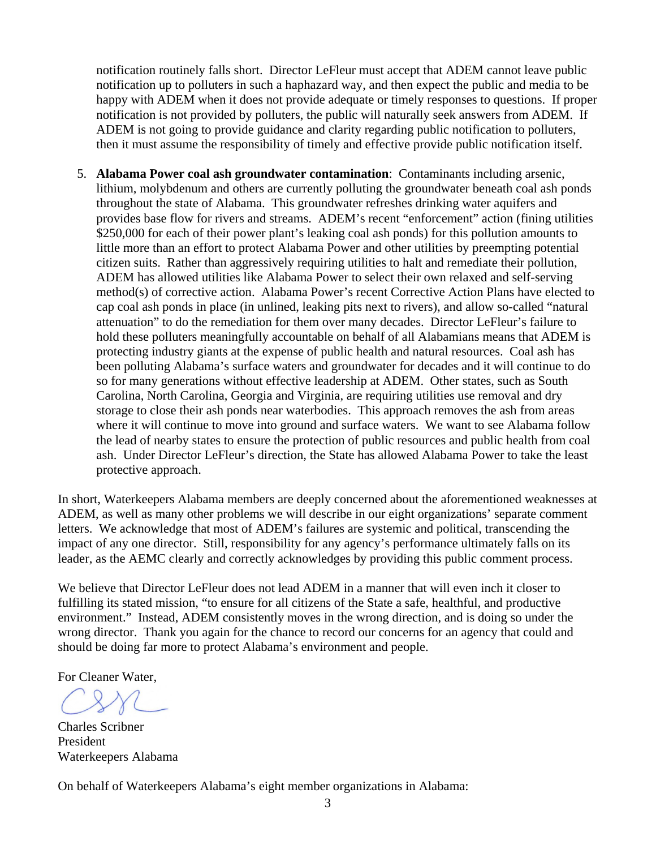notification routinely falls short. Director LeFleur must accept that ADEM cannot leave public notification up to polluters in such a haphazard way, and then expect the public and media to be happy with ADEM when it does not provide adequate or timely responses to questions. If proper notification is not provided by polluters, the public will naturally seek answers from ADEM. If ADEM is not going to provide guidance and clarity regarding public notification to polluters, then it must assume the responsibility of timely and effective provide public notification itself.

5. **Alabama Power coal ash groundwater contamination**: Contaminants including arsenic, lithium, molybdenum and others are currently polluting the groundwater beneath coal ash ponds throughout the state of Alabama. This groundwater refreshes drinking water aquifers and provides base flow for rivers and streams. ADEM's recent "enforcement" action (fining utilities \$250,000 for each of their power plant's leaking coal ash ponds) for this pollution amounts to little more than an effort to protect Alabama Power and other utilities by preempting potential citizen suits. Rather than aggressively requiring utilities to halt and remediate their pollution, ADEM has allowed utilities like Alabama Power to select their own relaxed and self-serving method(s) of corrective action. Alabama Power's recent Corrective Action Plans have elected to cap coal ash ponds in place (in unlined, leaking pits next to rivers), and allow so-called "natural attenuation" to do the remediation for them over many decades. Director LeFleur's failure to hold these polluters meaningfully accountable on behalf of all Alabamians means that ADEM is protecting industry giants at the expense of public health and natural resources. Coal ash has been polluting Alabama's surface waters and groundwater for decades and it will continue to do so for many generations without effective leadership at ADEM. Other states, such as South Carolina, North Carolina, Georgia and Virginia, are requiring utilities use removal and dry storage to close their ash ponds near waterbodies. This approach removes the ash from areas where it will continue to move into ground and surface waters. We want to see Alabama follow the lead of nearby states to ensure the protection of public resources and public health from coal ash. Under Director LeFleur's direction, the State has allowed Alabama Power to take the least protective approach.

In short, Waterkeepers Alabama members are deeply concerned about the aforementioned weaknesses at ADEM, as well as many other problems we will describe in our eight organizations' separate comment letters. We acknowledge that most of ADEM's failures are systemic and political, transcending the impact of any one director. Still, responsibility for any agency's performance ultimately falls on its leader, as the AEMC clearly and correctly acknowledges by providing this public comment process.

We believe that Director LeFleur does not lead ADEM in a manner that will even inch it closer to fulfilling its stated mission, "to ensure for all citizens of the State a safe, healthful, and productive environment." Instead, ADEM consistently moves in the wrong direction, and is doing so under the wrong director. Thank you again for the chance to record our concerns for an agency that could and should be doing far more to protect Alabama's environment and people.

For Cleaner Water,

Charles Scribner President Waterkeepers Alabama

On behalf of Waterkeepers Alabama's eight member organizations in Alabama: